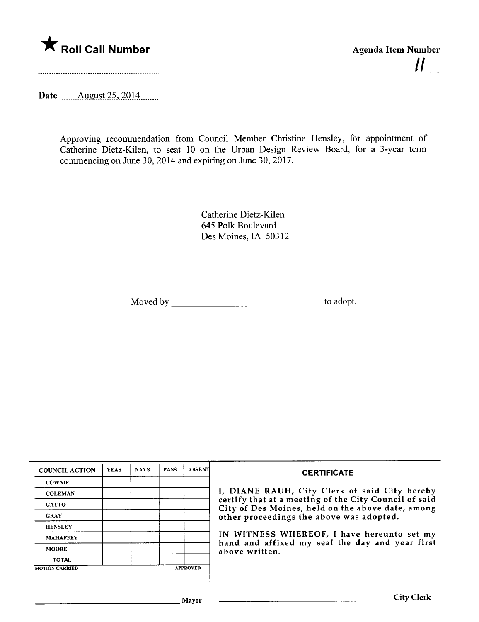

Date \_\_\_\_\_\_ August 25, 2014.

Approving recommendation from Council Member Christine Hensley, for appointment of Catherine Dietz-Kilen, to seat 10 on the Urban Design Review Board, for a 3-year term commencing on June 30, 2014 and expiring on June 30, 2017.

> Catherine Dietz-Kilen 645 Polk Boulevard Des Moines, IA 50312

Moved by to adopt.

| <b>COUNCIL ACTION</b> | <b>YEAS</b> | <b>NAYS</b> | <b>PASS</b> | <b>ABSENT</b>   | <b>CERTIFICATE</b>                                                                                         |
|-----------------------|-------------|-------------|-------------|-----------------|------------------------------------------------------------------------------------------------------------|
| <b>COWNIE</b>         |             |             |             |                 |                                                                                                            |
| <b>COLEMAN</b>        |             |             |             |                 | I, DIANE RAUH, City Clerk of said City hereby                                                              |
| <b>GATTO</b>          |             |             |             |                 | certify that at a meeting of the City Council of said<br>City of Des Moines, held on the above date, among |
| <b>GRAY</b>           |             |             |             |                 | other proceedings the above was adopted.                                                                   |
| <b>HENSLEY</b>        |             |             |             |                 |                                                                                                            |
| <b>MAHAFFEY</b>       |             |             |             |                 | IN WITNESS WHEREOF, I have hereunto set my<br>hand and affixed my seal the day and year first              |
| <b>MOORE</b>          |             |             |             |                 | above written.                                                                                             |
| <b>TOTAL</b>          |             |             |             |                 |                                                                                                            |
| <b>MOTION CARRIED</b> |             |             |             | <b>APPROVED</b> |                                                                                                            |
|                       |             |             |             |                 |                                                                                                            |
|                       |             |             |             |                 |                                                                                                            |
| Mayor                 |             |             |             |                 | City Clerk                                                                                                 |
|                       |             |             |             |                 |                                                                                                            |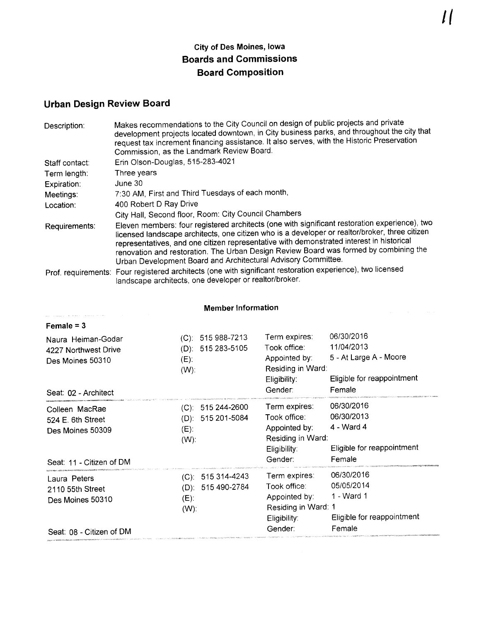## City of Des Moines, Iowa Boards and Commissions Board Composition

## Urban Design Review Board

| Description:   | Makes recommendations to the City Council on design of public projects and private<br>development projects located downtown, in City business parks, and throughout the city that<br>request tax increment financing assistance. It also serves, with the Historic Preservation<br>Commission, as the Landmark Review Board.                                                                                                                          |
|----------------|-------------------------------------------------------------------------------------------------------------------------------------------------------------------------------------------------------------------------------------------------------------------------------------------------------------------------------------------------------------------------------------------------------------------------------------------------------|
| Staff contact: | Erin Olson-Douglas, 515-283-4021                                                                                                                                                                                                                                                                                                                                                                                                                      |
| Term length:   | Three years                                                                                                                                                                                                                                                                                                                                                                                                                                           |
| Expiration:    | June 30                                                                                                                                                                                                                                                                                                                                                                                                                                               |
| Meetings:      | 7:30 AM, First and Third Tuesdays of each month,                                                                                                                                                                                                                                                                                                                                                                                                      |
| Location:      | 400 Robert D Ray Drive                                                                                                                                                                                                                                                                                                                                                                                                                                |
|                | City Hall, Second floor, Room: City Council Chambers                                                                                                                                                                                                                                                                                                                                                                                                  |
| Requirements:  | Eleven members: four registered architects (one with significant restoration experience), two<br>licensed landscape architects, one citizen who is a developer or realtor/broker, three citizen<br>representatives, and one citizen representative with demonstrated interest in historical<br>renovation and restoration. The Urban Design Review Board was formed by combining the<br>Urban Development Board and Architectural Advisory Committee. |
|                | Prof. requirements: Four registered architects (one with significant restoration experience), two licensed<br>landscape architects, one developer or realtor/broker.                                                                                                                                                                                                                                                                                  |

| 06/30/2016<br>Term expires:<br>11/04/2013<br>Took office:<br>5 - At Large A - Moore<br>Appointed by:<br>Residing in Ward:<br>Eligible for reappointment<br>Eligibility:<br>Gender:<br>Female |
|----------------------------------------------------------------------------------------------------------------------------------------------------------------------------------------------|
| 06/30/2016<br>Term expires:<br>06/30/2013<br>Took office:<br>4 - Ward 4<br>Appointed by:<br>Residing in Ward:<br>Eligible for reappointment<br>Eligibility:<br>Female<br>Gender:             |
| 06/30/2016<br>Term expires:<br>05/05/2014<br>Took office:<br>1 - Ward 1<br>Appointed by:<br>Residing in Ward: 1<br>Eligible for reappointment<br>Eligibility:<br>Gender:<br>Female           |
|                                                                                                                                                                                              |

Member Information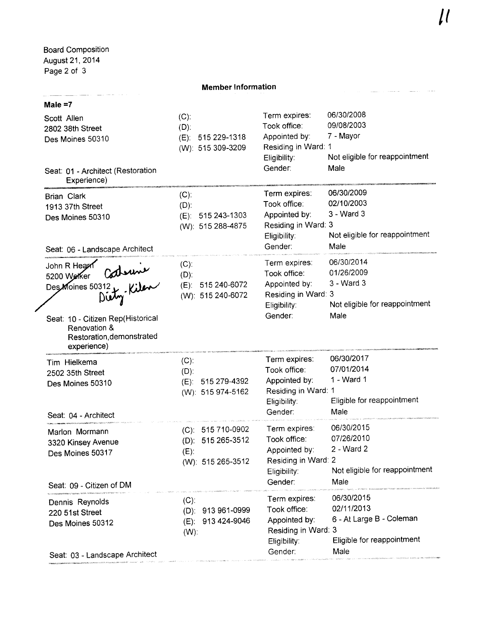$\frac{1}{2}$  and  $\frac{1}{2}$  and  $\frac{1}{2}$  and  $\frac{1}{2}$ 

## Member Information

## Male =7

|  | Scott Allen<br>2802 38th Street<br>Des Moines 50310<br>Seat: 01 - Architect (Restoration<br>Experience)                | $(C)$ :<br>$(D)$ .<br>$(E)$ . | 515 229-1318<br>(W): 515 309-3209                           | Term expires:<br>Took office:<br>Appointed by:<br>Residing in Ward: 1<br>Eligibility:<br>Gender: | 06/30/2008<br>09/08/2003<br>7 - Mayor<br>Not eligible for reappointment<br>Male            |
|--|------------------------------------------------------------------------------------------------------------------------|-------------------------------|-------------------------------------------------------------|--------------------------------------------------------------------------------------------------|--------------------------------------------------------------------------------------------|
|  | <b>Brian Clark</b><br>1913 37th Street<br>Des Moines 50310<br>Seat: 06 - Landscape Architect                           | $(C)$ :<br>$(D)$ :            | (E): 515 243-1303<br>(W): 515 288-4875                      | Term expires:<br>Took office:<br>Appointed by:<br>Residing in Ward: 3<br>Eligibility:<br>Gender: | 06/30/2009<br>02/10/2003<br>3 - Ward 3<br>Not eligible for reappointment<br>Male           |
|  | Seur Werker Contenuse<br>Seat: 10 - Citizen Rep(Historical<br>Renovation &<br>Restoration, demonstrated<br>experience) | $(C)$ :<br>$(D)$ :            | (E): 515 240-6072<br>(W): 515 240-6072                      | Term expires:<br>Took office:<br>Appointed by:<br>Residing in Ward: 3<br>Eligibility:<br>Gender: | 06/30/2014<br>01/26/2009<br>3 - Ward 3<br>Not eligible for reappointment<br>Male           |
|  | Tim Hielkema<br>2502 35th Street<br>Des Moines 50310<br>Seat: 04 - Architect                                           | $(C)$ :<br>$(D)$ :            | (E): 515 279-4392<br>(W): 515 974-5162                      | Term expires:<br>Took office:<br>Appointed by:<br>Residing in Ward: 1<br>Eligibility.<br>Gender: | 06/30/2017<br>07/01/2014<br>1 - Ward 1<br>Eligible for reappointment<br>Male               |
|  | Marlon Mormann<br>3320 Kinsey Avenue<br>Des Moines 50317<br>Seat: 09 - Citizen of DM                                   | $(E)$ :                       | (C): 515 710-0902<br>(D): 515 265-3512<br>(W): 515 265-3512 | Term expires:<br>Took office:<br>Appointed by:<br>Residing in Ward: 2<br>Eligibility:<br>Gender: | 06/30/2015<br>07/26/2010<br>2 - Ward 2<br>Not eligible for reappointment<br>Male           |
|  | Dennis Reynolds<br>220 51st Street<br>Des Moines 50312<br>Seat: 03 - Landscape Architect                               | $(C)$ :<br>$(E)$ :<br>$(W)$ : | (D): 913 961-0999<br>913 424-9046                           | Term expires:<br>Took office:<br>Appointed by:<br>Residing in Ward: 3<br>Eligibility:<br>Gender: | 06/30/2015<br>02/11/2013<br>6 - At Large B - Coleman<br>Eligible for reappointment<br>Male |

a componente comercial